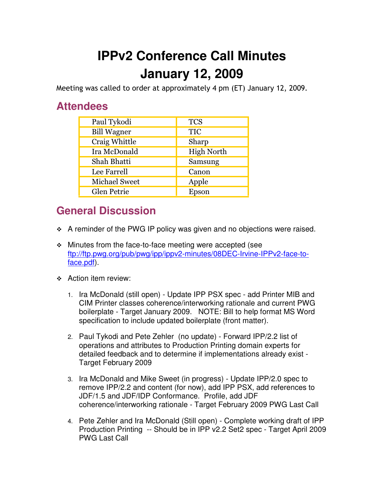## **IPPv2 Conference Call Minutes January 12, 2009**

Meeting was called to order at approximately 4 pm (ET) January 12, 2009.

## **Attendees**

| Paul Tykodi          | <b>TCS</b>        |
|----------------------|-------------------|
| <b>Bill Wagner</b>   | <b>TIC</b>        |
| Craig Whittle        | Sharp             |
| Ira McDonald         | <b>High North</b> |
| Shah Bhatti          | Samsung           |
| Lee Farrell          | Canon             |
| <b>Michael Sweet</b> | Apple             |
| Glen Petrie          | Epson             |

## **General Discussion**

- \* A reminder of the PWG IP policy was given and no objections were raised.
- Minutes from the face-to-face meeting were accepted (see ftp://ftp.pwg.org/pub/pwg/ipp/ippv2-minutes/08DEC-Irvine-IPPv2-face-toface.pdf).
- ❖ Action item review:
	- 1. Ira McDonald (still open) Update IPP PSX spec add Printer MIB and CIM Printer classes coherence/interworking rationale and current PWG boilerplate - Target January 2009. NOTE: Bill to help format MS Word specification to include updated boilerplate (front matter).
	- 2. Paul Tykodi and Pete Zehler (no update) Forward IPP/2.2 list of operations and attributes to Production Printing domain experts for detailed feedback and to determine if implementations already exist - Target February 2009
	- 3. Ira McDonald and Mike Sweet (in progress) Update IPP/2.0 spec to remove IPP/2.2 and content (for now), add IPP PSX, add references to JDF/1.5 and JDF/IDP Conformance. Profile, add JDF coherence/interworking rationale - Target February 2009 PWG Last Call
	- 4. Pete Zehler and Ira McDonald (Still open) Complete working draft of IPP Production Printing -- Should be in IPP v2.2 Set2 spec - Target April 2009 PWG Last Call